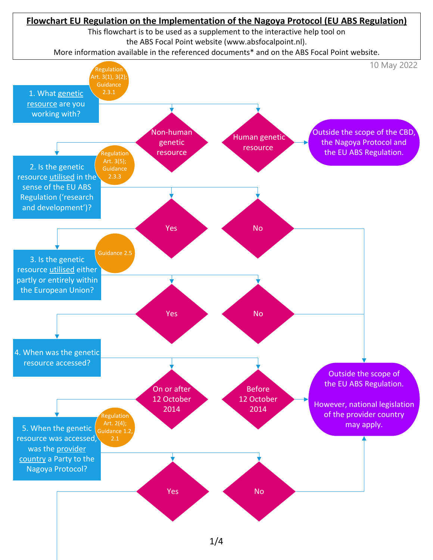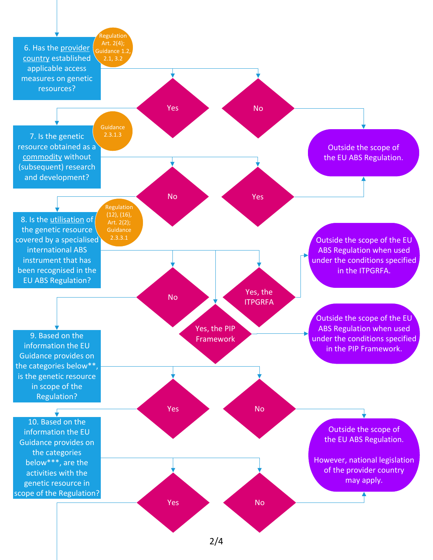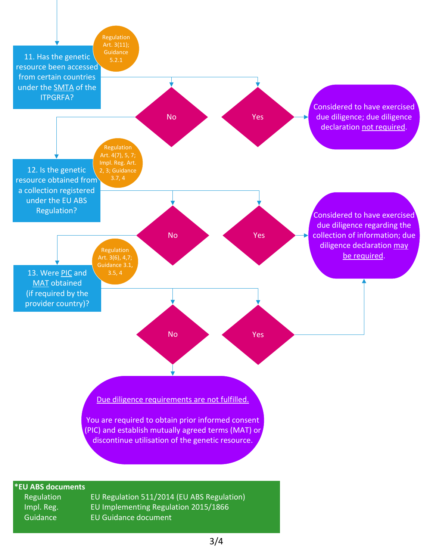